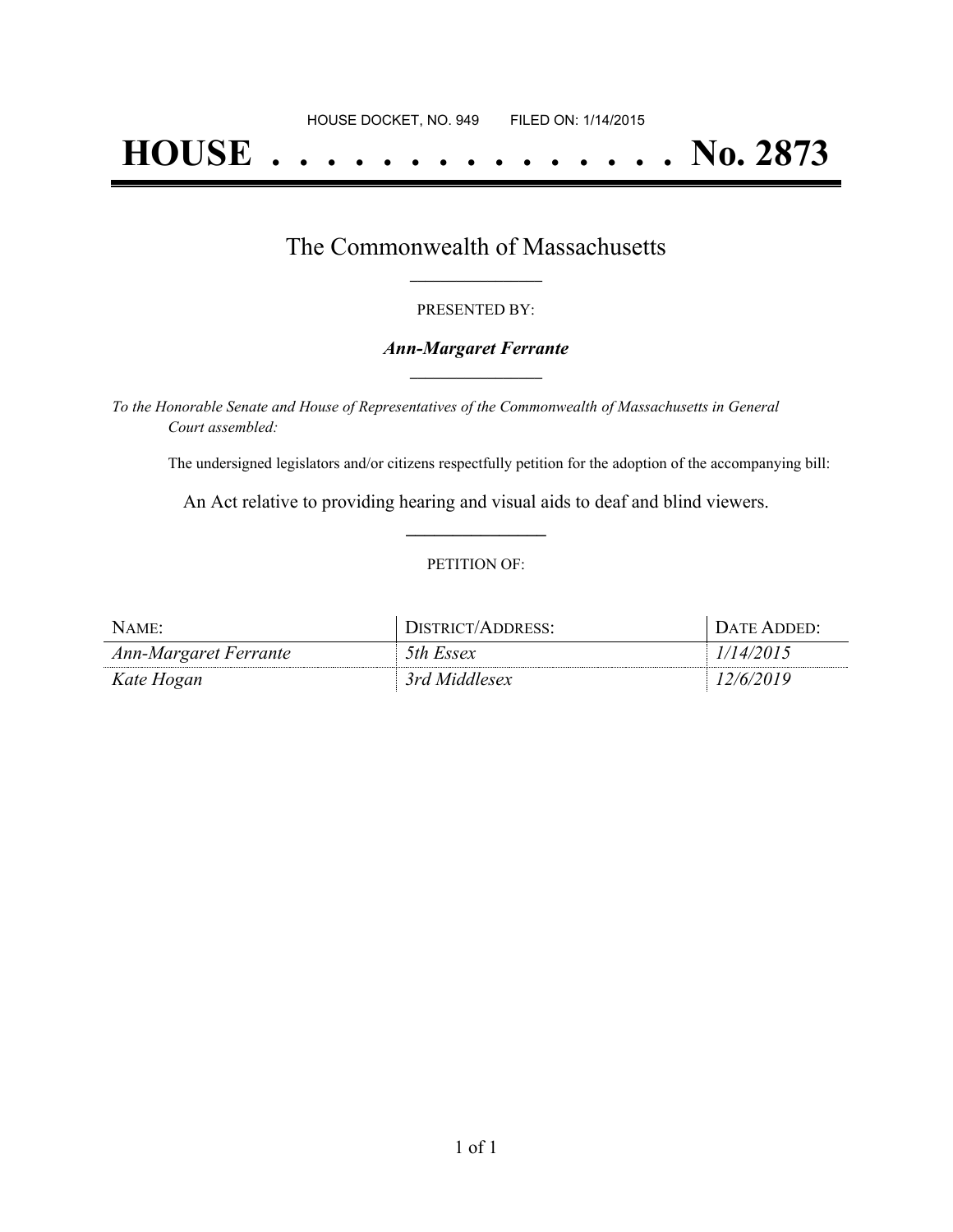# **HOUSE . . . . . . . . . . . . . . . No. 2873**

## The Commonwealth of Massachusetts **\_\_\_\_\_\_\_\_\_\_\_\_\_\_\_\_\_**

#### PRESENTED BY:

#### *Ann-Margaret Ferrante* **\_\_\_\_\_\_\_\_\_\_\_\_\_\_\_\_\_**

*To the Honorable Senate and House of Representatives of the Commonwealth of Massachusetts in General Court assembled:*

The undersigned legislators and/or citizens respectfully petition for the adoption of the accompanying bill:

An Act relative to providing hearing and visual aids to deaf and blind viewers. **\_\_\_\_\_\_\_\_\_\_\_\_\_\_\_**

#### PETITION OF:

| $N$ AME:              | DISTRICT/ADDRESS: | DATE ADDED: |
|-----------------------|-------------------|-------------|
| Ann-Margaret Ferrante | 5th Essex         | 1/14/2015   |
| Kate Hogan            | 3rd Middlesex     | 12/6/2019   |